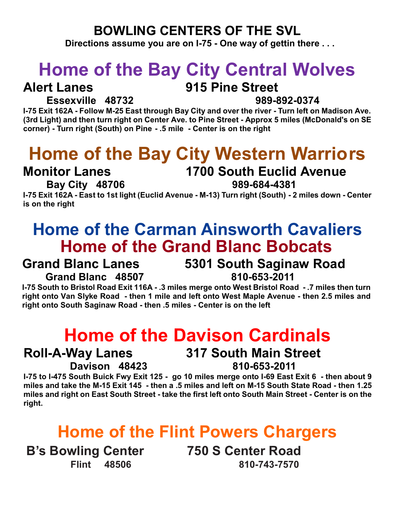#### **BOWLING CENTERS OF THE SVL**

**Directions assume you are on I-75 - One way of gettin there . . .**

# **Home of the Bay City Central Wolves**

#### **Alert Lanes 915 Pine Street**

### **Essexville 48732 989-892-0374**

**I-75 Exit 162A - Follow M-25 East through Bay City and over the river - Turn left on Madison Ave. (3rd Light) and then turn right on Center Ave. to Pine Street - Approx 5 miles (McDonald's on SE corner) - Turn right (South) on Pine - .5 mile - Center is on the right**

# **Home of the Bay City Western Warriors**

#### **Monitor Lanes 1700 South Euclid Avenue**

#### **Bay City 48706 989-684-4381**

**I-75 Exit 162A - East to 1st light (Euclid Avenue - M-13) Turn right (South) - 2 miles down - Center is on the right**

## **Home of the Carman Ainsworth Cavaliers Home of the Grand Blanc Bobcats**

### **Grand Blanc Lanes 5301 South Saginaw Road**

**Grand Blanc 48507 810-653-2011**

**I-75 South to Bristol Road Exit 116A - .3 miles merge onto West Bristol Road - .7 miles then turn right onto Van Slyke Road - then 1 mile and left onto West Maple Avenue - then 2.5 miles and right onto South Saginaw Road - then .5 miles - Center is on the left**

# **Home of the Davison Cardinals**

#### **Roll-A-Way Lanes 317 South Main Street Davison 48423 810-653-2011**

**I-75 to I-475 South Buick Fwy Exit 125 - go 10 miles merge onto I-69 East Exit 6 - then about 9 miles and take the M-15 Exit 145 - then a .5 miles and left on M-15 South State Road - then 1.25 miles and right on East South Street - take the first left onto South Main Street - Center is on the right.**

# **Home of the Flint Powers Chargers**

**B's Bowling Center 750 S Center Road**

**Flint 48506 810-743-7570**